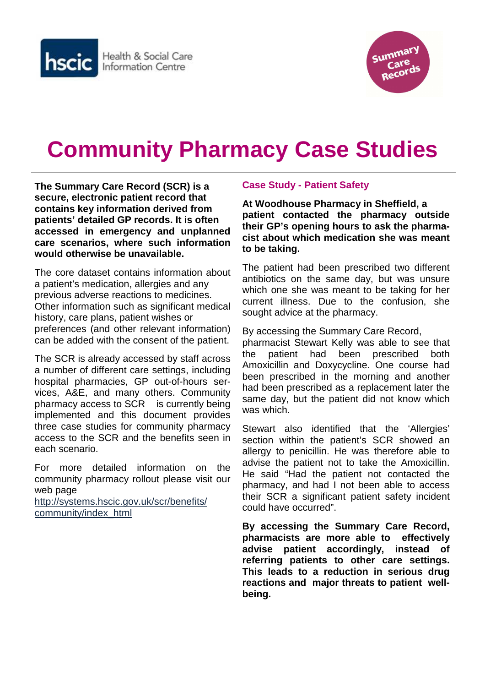



# **Community Pharmacy Case Studies**

**The Summary Care Record (SCR) is a secure, electronic patient record that contains key information derived from patients' detailed GP records. It is often accessed in emergency and unplanned care scenarios, where such information would otherwise be unavailable.** 

The core dataset contains information about a patient's medication, allergies and any previous adverse reactions to medicines. Other information such as significant medical history, care plans, patient wishes or preferences (and other relevant information) can be added with the consent of the patient.

The SCR is already accessed by staff across a number of different care settings, including hospital pharmacies, GP out-of-hours services, A&E, and many others. Community pharmacy access to SCR is currently being implemented and this document provides three case studies for community pharmacy access to the SCR and the benefits seen in each scenario.

For more detailed information on the community pharmacy rollout please visit our web page

http://systems.hscic.gov.uk/scr/benefits/ community/index\_html

## **Case Study - Patient Safety**

**At Woodhouse Pharmacy in Sheffield, a patient contacted the pharmacy outside their GP's opening hours to ask the pharmacist about which medication she was meant to be taking.** 

The patient had been prescribed two different antibiotics on the same day, but was unsure which one she was meant to be taking for her current illness. Due to the confusion, she sought advice at the pharmacy.

By accessing the Summary Care Record,

pharmacist Stewart Kelly was able to see that the patient had been prescribed both Amoxicillin and Doxycycline. One course had been prescribed in the morning and another had been prescribed as a replacement later the same day, but the patient did not know which was which.

Stewart also identified that the 'Allergies' section within the patient's SCR showed an allergy to penicillin. He was therefore able to advise the patient not to take the Amoxicillin. He said "Had the patient not contacted the pharmacy, and had I not been able to access their SCR a significant patient safety incident could have occurred".

**By accessing the Summary Care Record, pharmacists are more able to effectively advise patient accordingly, instead of referring patients to other care settings. This leads to a reduction in serious drug reactions and major threats to patient wellbeing.**